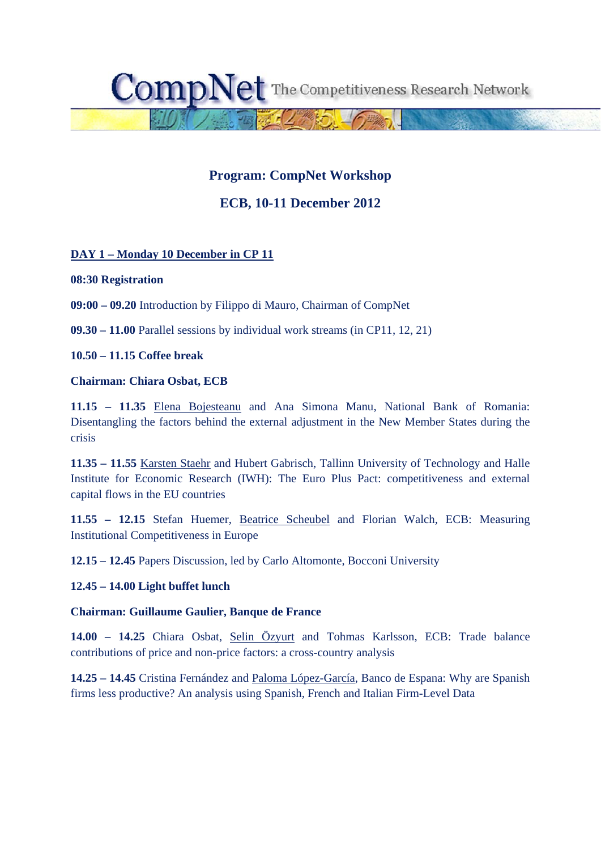CompNe The Competitiveness Research Network

# **Program: CompNet Workshop**

# **ECB, 10-11 December 2012**

# **DAY 1 – Monday 10 December in CP 11**

#### **08:30 Registration**

**09:00 – 09.20** Introduction by Filippo di Mauro, Chairman of CompNet

**09.30 – 11.00** Parallel sessions by individual work streams (in CP11, 12, 21)

## **10.50 – 11.15 Coffee break**

## **Chairman: Chiara Osbat, ECB**

**11.15 – 11.35** Elena Bojesteanu and Ana Simona Manu, National Bank of Romania: Disentangling the factors behind the external adjustment in the New Member States during the crisis

**11.35 – 11.55** Karsten Staehr and Hubert Gabrisch, Tallinn University of Technology and Halle Institute for Economic Research (IWH): The Euro Plus Pact: competitiveness and external capital flows in the EU countries

**11.55 – 12.15** Stefan Huemer, Beatrice Scheubel and Florian Walch, ECB: Measuring Institutional Competitiveness in Europe

**12.15 – 12.45** Papers Discussion, led by Carlo Altomonte, Bocconi University

# **12.45 – 14.00 Light buffet lunch**

#### **Chairman: Guillaume Gaulier, Banque de France**

**14.00 – 14.25** Chiara Osbat, Selin Özyurt and Tohmas Karlsson, ECB: Trade balance contributions of price and non-price factors: a cross-country analysis

**14.25 – 14.45** Cristina Fernández and Paloma López-García, Banco de Espana: Why are Spanish firms less productive? An analysis using Spanish, French and Italian Firm-Level Data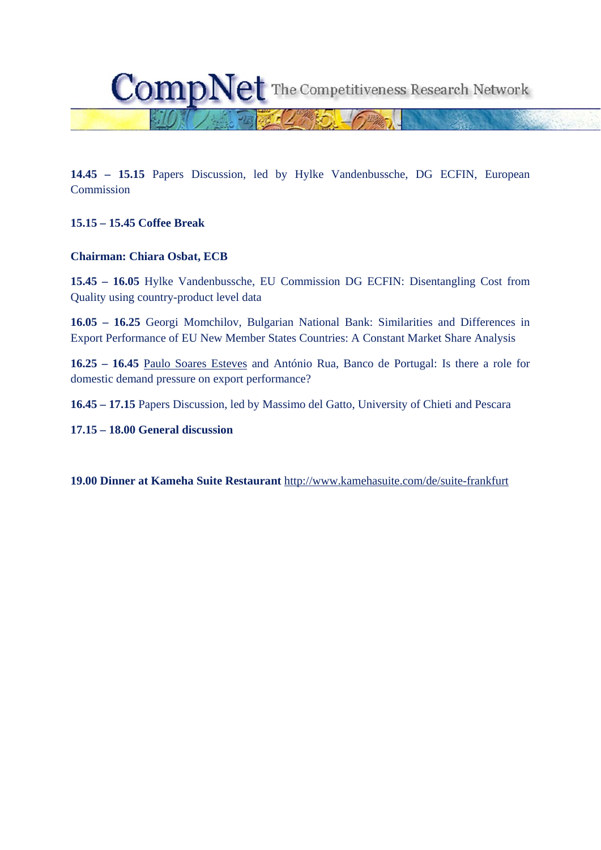

**14.45 – 15.15** Papers Discussion, led by Hylke Vandenbussche, DG ECFIN, European **Commission** 

## **15.15 – 15.45 Coffee Break**

#### **Chairman: Chiara Osbat, ECB**

**15.45 – 16.05** Hylke Vandenbussche, EU Commission DG ECFIN: Disentangling Cost from Quality using country-product level data

**16.05 – 16.25** Georgi Momchilov, Bulgarian National Bank: Similarities and Differences in Export Performance of EU New Member States Countries: A Constant Market Share Analysis

**16.25 – 16.45** Paulo Soares Esteves and António Rua, Banco de Portugal: Is there a role for domestic demand pressure on export performance?

**16.45 – 17.15** Papers Discussion, led by Massimo del Gatto, University of Chieti and Pescara

### **17.15 – 18.00 General discussion**

**19.00 Dinner at Kameha Suite Restaurant** http://www.kamehasuite.com/de/suite-frankfurt